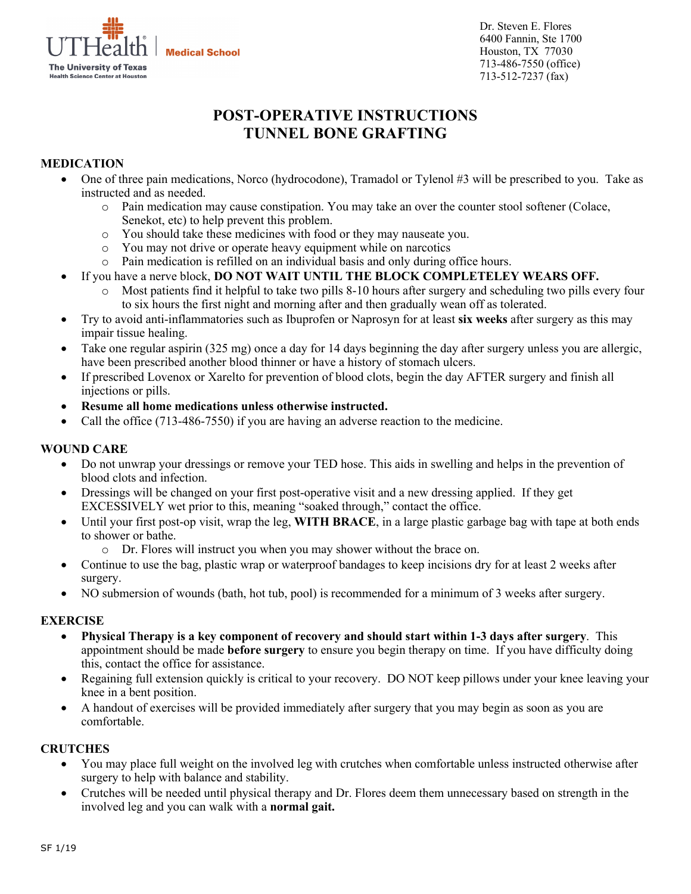**Medical School** 



Dr. Steven E. Flores 6400 Fannin, Ste 1700 Houston, TX 77030 713-486-7550 (office) 713-512-7237 (fax)

# **POST-OPERATIVE INSTRUCTIONS TUNNEL BONE GRAFTING**

## **MEDICATION**

- One of three pain medications, Norco (hydrocodone), Tramadol or Tylenol #3 will be prescribed to you. Take as instructed and as needed.
	- o Pain medication may cause constipation. You may take an over the counter stool softener (Colace, Senekot, etc) to help prevent this problem.
	- o You should take these medicines with food or they may nauseate you.
	- o You may not drive or operate heavy equipment while on narcotics
	- o Pain medication is refilled on an individual basis and only during office hours.
- If you have a nerve block, **DO NOT WAIT UNTIL THE BLOCK COMPLETELEY WEARS OFF.**
	- o Most patients find it helpful to take two pills 8-10 hours after surgery and scheduling two pills every four to six hours the first night and morning after and then gradually wean off as tolerated.
- Try to avoid anti-inflammatories such as Ibuprofen or Naprosyn for at least **six weeks** after surgery as this may impair tissue healing.
- Take one regular aspirin (325 mg) once a day for 14 days beginning the day after surgery unless you are allergic, have been prescribed another blood thinner or have a history of stomach ulcers.
- If prescribed Lovenox or Xarelto for prevention of blood clots, begin the day AFTER surgery and finish all injections or pills.
- **Resume all home medications unless otherwise instructed.**
- Call the office (713-486-7550) if you are having an adverse reaction to the medicine.

## **WOUND CARE**

- Do not unwrap your dressings or remove your TED hose. This aids in swelling and helps in the prevention of blood clots and infection.
- Dressings will be changed on your first post-operative visit and a new dressing applied. If they get EXCESSIVELY wet prior to this, meaning "soaked through," contact the office.
- Until your first post-op visit, wrap the leg, **WITH BRACE**, in a large plastic garbage bag with tape at both ends to shower or bathe.
	- o Dr. Flores will instruct you when you may shower without the brace on.
- Continue to use the bag, plastic wrap or waterproof bandages to keep incisions dry for at least 2 weeks after surgery.
- NO submersion of wounds (bath, hot tub, pool) is recommended for a minimum of 3 weeks after surgery.

# **EXERCISE**

- **Physical Therapy is a key component of recovery and should start within 1-3 days after surgery**. This appointment should be made **before surgery** to ensure you begin therapy on time. If you have difficulty doing this, contact the office for assistance.
- Regaining full extension quickly is critical to your recovery. DO NOT keep pillows under your knee leaving your knee in a bent position.
- A handout of exercises will be provided immediately after surgery that you may begin as soon as you are comfortable.

# **CRUTCHES**

- You may place full weight on the involved leg with crutches when comfortable unless instructed otherwise after surgery to help with balance and stability.
- Crutches will be needed until physical therapy and Dr. Flores deem them unnecessary based on strength in the involved leg and you can walk with a **normal gait.**